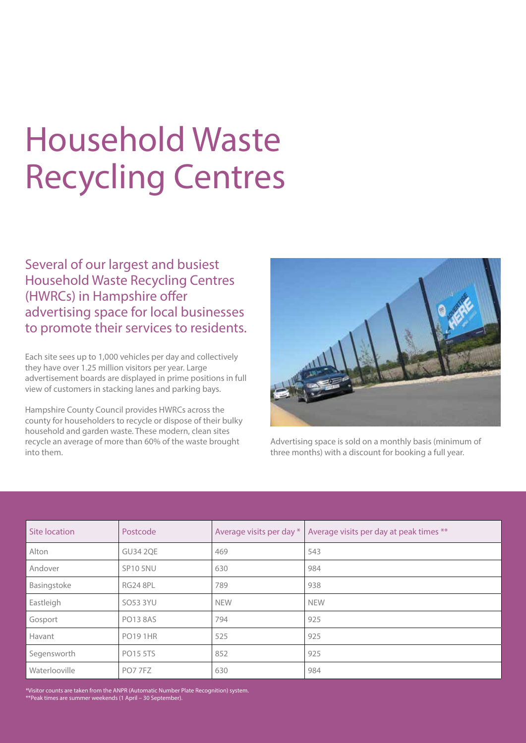# Household Waste Recycling Centres

Several of our largest and busiest Household Waste Recycling Centres (HWRCs) in Hampshire offer advertising space for local businesses to promote their services to residents.

Each site sees up to 1,000 vehicles per day and collectively they have over 1.25 million visitors per year. Large advertisement boards are displayed in prime positions in full view of customers in stacking lanes and parking bays.

Hampshire County Council provides HWRCs across the county for householders to recycle or dispose of their bulky household and garden waste. These modern, clean sites recycle an average of more than 60% of the waste brought into them.



Advertising space is sold on a monthly basis (minimum of three months) with a discount for booking a full year.

| Site location | Postcode        | Average visits per day * | Average visits per day at peak times ** |
|---------------|-----------------|--------------------------|-----------------------------------------|
| Alton         | <b>GU34 2QE</b> | 469                      | 543                                     |
| Andover       | <b>SP10 5NU</b> | 630                      | 984                                     |
| Basingstoke   | <b>RG24 8PL</b> | 789                      | 938                                     |
| Eastleigh     | SO53 3YU        | <b>NEW</b>               | <b>NEW</b>                              |
| Gosport       | <b>PO13 8AS</b> | 794                      | 925                                     |
| Havant        | <b>PO19 1HR</b> | 525                      | 925                                     |
| Segensworth   | <b>PO15 5TS</b> | 852                      | 925                                     |
| Waterlooville | PO7 7FZ         | 630                      | 984                                     |

\*Visitor counts are taken from the ANPR (Automatic Number Plate Recognition) system. \*\*Peak times are summer weekends (1 April – 30 September).